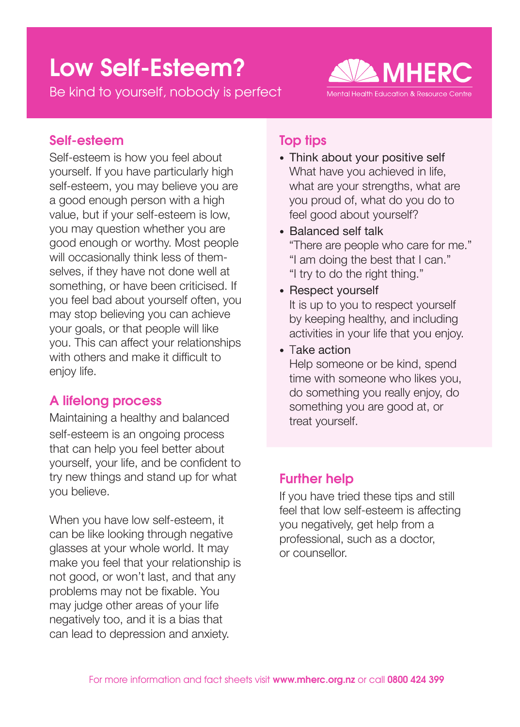# Low Self-Esteem?

Be kind to yourself, nobody is perfect



## Self-esteem

Self-esteem is how you feel about yourself. If you have particularly high self-esteem, you may believe you are a good enough person with a high value, but if your self-esteem is low, you may question whether you are good enough or worthy. Most people will occasionally think less of themselves, if they have not done well at something, or have been criticised. If you feel bad about yourself often, you may stop believing you can achieve your goals, or that people will like you. This can affect your relationships with others and make it difficult to enjoy life.

# A lifelong process

Maintaining a healthy and balanced self-esteem is an ongoing process that can help you feel better about yourself, your life, and be confident to try new things and stand up for what you believe.

When you have low self-esteem, it can be like looking through negative glasses at your whole world. It may make you feel that your relationship is not good, or won't last, and that any problems may not be fixable. You may judge other areas of your life negatively too, and it is a bias that can lead to depression and anxiety.

## Top tips

- Think about your positive self What have you achieved in life. what are your strengths, what are you proud of, what do you do to feel good about yourself?
- Balanced self talk "There are people who care for me." "I am doing the best that I can." "I try to do the right thing."
- Respect yourself It is up to you to respect yourself by keeping healthy, and including activities in your life that you enjoy.
- Take action Help someone or be kind, spend time with someone who likes you, do something you really enjoy, do something you are good at, or treat yourself.

## Further help

If you have tried these tips and still feel that low self-esteem is affecting you negatively, get help from a professional, such as a doctor, or counsellor.